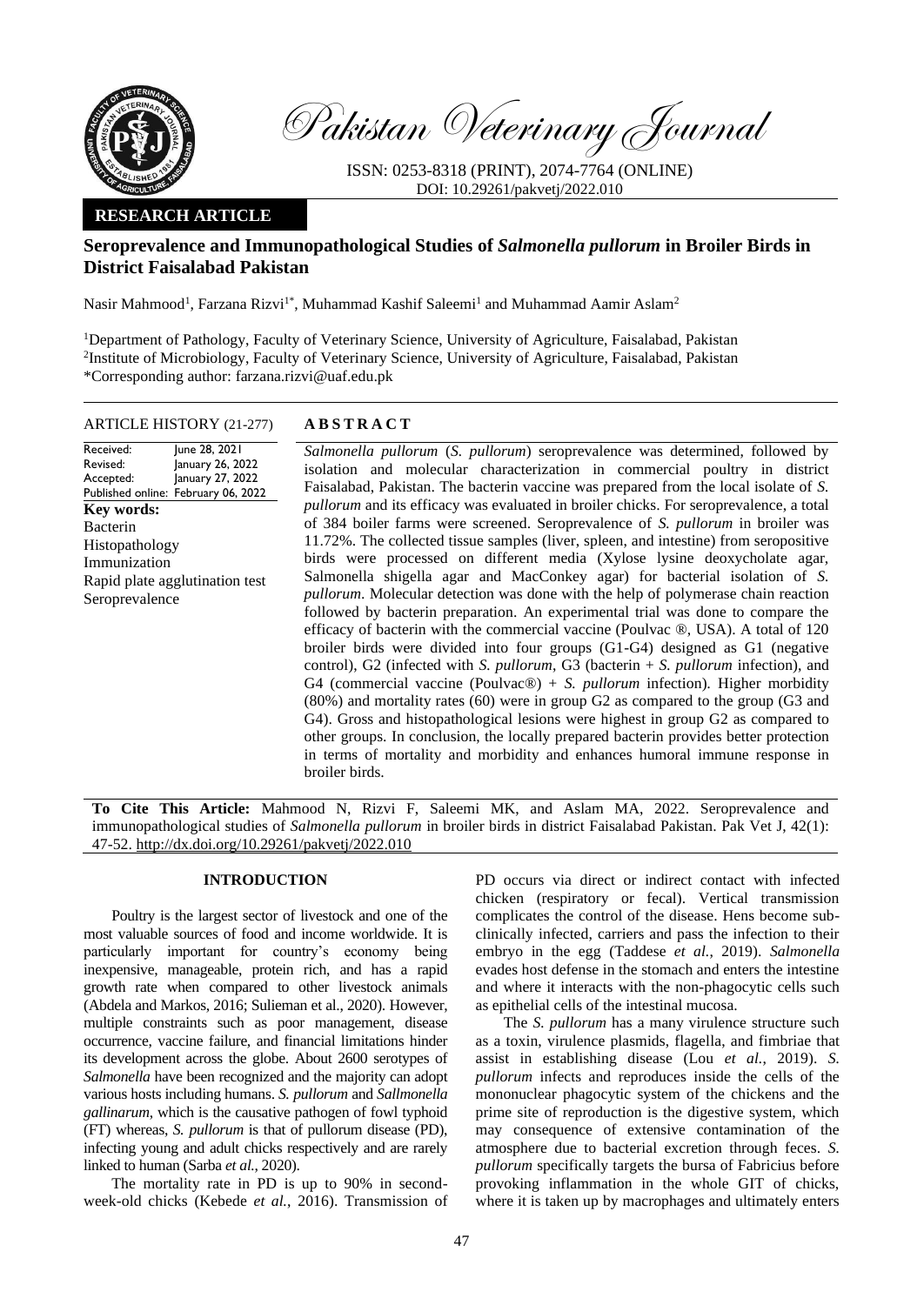

Pakistan Veterinary Journal

ISSN: 0253-8318 (PRINT), 2074-7764 (ONLINE) DOI: 10.29261/pakvetj/2022.010

## **RESEARCH ARTICLE**

# **Seroprevalence and Immunopathological Studies of** *Salmonella pullorum* **in Broiler Birds in District Faisalabad Pakistan**

Nasir Mahmood<sup>1</sup>, Farzana Rizvi<sup>1\*</sup>, Muhammad Kashif Saleemi<sup>1</sup> and Muhammad Aamir Aslam<sup>2</sup>

<sup>1</sup>Department of Pathology, Faculty of Veterinary Science, University of Agriculture, Faisalabad, Pakistan 2 Institute of Microbiology, Faculty of Veterinary Science, University of Agriculture, Faisalabad, Pakistan \*Corresponding author: farzana.rizvi@uaf.edu.pk

#### ARTICLE HISTORY (21-277) **A B S T R A C T**

#### Received: Revised: Accepted: Published online: February 06, 2022 June 28, 2021 January 26, 2022 January 27, 2022 **Key words:**  Bacterin Histopathology Immunization

Rapid plate agglutination test

Seroprevalence

*Salmonella pullorum* (*S. pullorum*) seroprevalence was determined, followed by isolation and molecular characterization in commercial poultry in district Faisalabad, Pakistan. The bacterin vaccine was prepared from the local isolate of *S. pullorum* and its efficacy was evaluated in broiler chicks. For seroprevalence, a total of 384 boiler farms were screened. Seroprevalence of *S. pullorum* in broiler was 11.72%. The collected tissue samples (liver, spleen, and intestine) from seropositive birds were processed on different media (Xylose lysine deoxycholate agar, Salmonella shigella agar and MacConkey agar) for bacterial isolation of *S. pullorum*. Molecular detection was done with the help of polymerase chain reaction followed by bacterin preparation. An experimental trial was done to compare the efficacy of bacterin with the commercial vaccine (Poulvac ®, USA). A total of 120 broiler birds were divided into four groups (G1-G4) designed as G1 (negative control), G2 (infected with *S. pullorum*, G3 (bacterin + *S. pullorum* infection), and G4 (commercial vaccine (Poulvac®) + *S. pullorum* infection)*.* Higher morbidity (80%) and mortality rates (60) were in group G2 as compared to the group (G3 and G4). Gross and histopathological lesions were highest in group G2 as compared to other groups. In conclusion, the locally prepared bacterin provides better protection in terms of mortality and morbidity and enhances humoral immune response in broiler birds.

**To Cite This Article:** Mahmood N, Rizvi F, Saleemi MK, and Aslam MA, 2022. Seroprevalence and immunopathological studies of *Salmonella pullorum* in broiler birds in district Faisalabad Pakistan. Pak Vet J, 42(1): 47-52[. http://dx.doi.org/10.29261/pakvetj/2022.010](http://pvj.com.pk/pdf-files/42_1/47-52.pdf)

## **INTRODUCTION**

Poultry is the largest sector of livestock and one of the most valuable sources of food and income worldwide. It is particularly important for country's economy being inexpensive, manageable, protein rich, and has a rapid growth rate when compared to other livestock animals (Abdela and Markos, 2016; Sulieman et al., 2020). However, multiple constraints such as poor management, disease occurrence, vaccine failure, and financial limitations hinder its development across the globe. About 2600 serotypes of *Salmonella* have been recognized and the majority can adopt various hosts including humans. *S. pullorum* and *Sallmonella gallinarum*, which is the causative pathogen of fowl typhoid (FT) whereas, *S. pullorum* is that of pullorum disease (PD), infecting young and adult chicks respectively and are rarely linked to human (Sarba *et al.*, 2020).

The mortality rate in PD is up to 90% in secondweek-old chicks (Kebede *et al.*, 2016). Transmission of PD occurs via direct or indirect contact with infected chicken (respiratory or fecal). Vertical transmission complicates the control of the disease. Hens become subclinically infected, carriers and pass the infection to their embryo in the egg (Taddese *et al.*, 2019). *Salmonella* evades host defense in the stomach and enters the intestine and where it interacts with the non-phagocytic cells such as epithelial cells of the intestinal mucosa.

The *S. pullorum* has a many virulence structure such as a toxin, virulence plasmids, flagella, and fimbriae that assist in establishing disease (Lou *et al.*, 2019). *S. pullorum* infects and reproduces inside the cells of the mononuclear phagocytic system of the chickens and the prime site of reproduction is the digestive system, which may consequence of extensive contamination of the atmosphere due to bacterial excretion through feces. *S. pullorum* specifically targets the bursa of Fabricius before provoking inflammation in the whole GIT of chicks, where it is taken up by macrophages and ultimately enters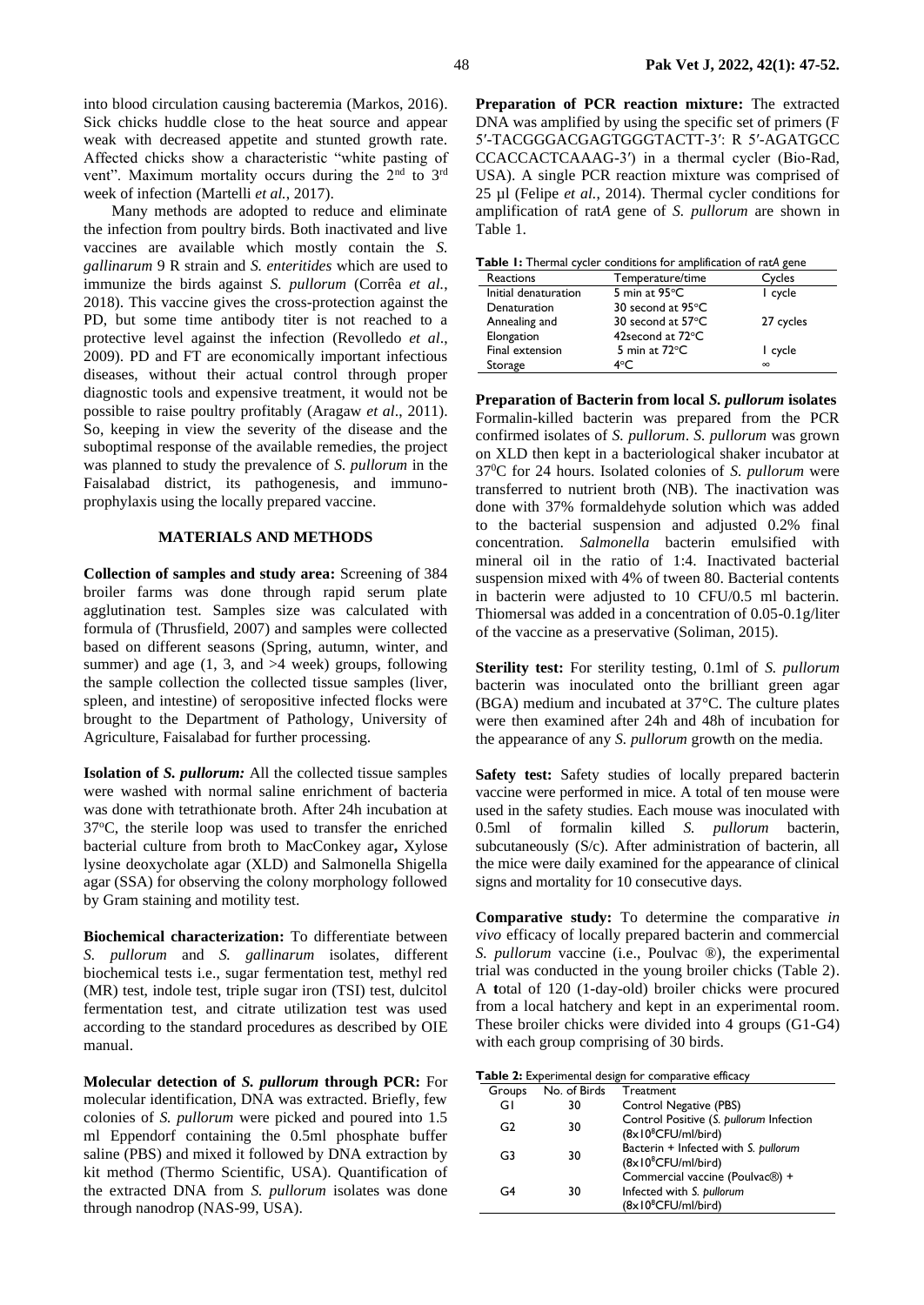into blood circulation causing bacteremia (Markos, 2016). Sick chicks huddle close to the heat source and appear weak with decreased appetite and stunted growth rate. Affected chicks show a characteristic "white pasting of vent". Maximum mortality occurs during the 2<sup>nd</sup> to 3<sup>rd</sup> week of infection (Martelli *et al.*, 2017).

Many methods are adopted to reduce and eliminate the infection from poultry birds. Both inactivated and live vaccines are available which mostly contain the *S. gallinarum* 9 R strain and *S. enteritides* which are used to immunize the birds against *S. pullorum* (Corrêa *et al.*, 2018). This vaccine gives the cross-protection against the PD, but some time antibody titer is not reached to a protective level against the infection (Revolledo *et al*., 2009). PD and FT are economically important infectious diseases, without their actual control through proper diagnostic tools and expensive treatment, it would not be possible to raise poultry profitably (Aragaw *et al*., 2011). So, keeping in view the severity of the disease and the suboptimal response of the available remedies, the project was planned to study the prevalence of *S. pullorum* in the Faisalabad district, its pathogenesis, and immunoprophylaxis using the locally prepared vaccine.

## **MATERIALS AND METHODS**

**Collection of samples and study area:** Screening of 384 broiler farms was done through rapid serum plate agglutination test. Samples size was calculated with formula of (Thrusfield, 2007) and samples were collected based on different seasons (Spring, autumn, winter, and summer) and age  $(1, 3, \text{ and } >4 \text{ week})$  groups, following the sample collection the collected tissue samples (liver, spleen, and intestine) of seropositive infected flocks were brought to the Department of Pathology, University of Agriculture, Faisalabad for further processing.

**Isolation of** *S. pullorum:* All the collected tissue samples were washed with normal saline enrichment of bacteria was done with tetrathionate broth. After 24h incubation at 37<sup>o</sup>C, the sterile loop was used to transfer the enriched bacterial culture from broth to MacConkey agar**,** Xylose lysine deoxycholate agar (XLD) and Salmonella Shigella agar (SSA) for observing the colony morphology followed by Gram staining and motility test.

**Biochemical characterization:** To differentiate between *S. pullorum* and *S. gallinarum* isolates, different biochemical tests i.e., sugar fermentation test, methyl red (MR) test, indole test, triple sugar iron (TSI) test, dulcitol fermentation test, and citrate utilization test was used according to the standard procedures as described by OIE manual.

**Molecular detection of** *S. pullorum* **through PCR:** For molecular identification, DNA was extracted. Briefly, few colonies of *S. pullorum* were picked and poured into 1.5 ml Eppendorf containing the 0.5ml phosphate buffer saline (PBS) and mixed it followed by DNA extraction by kit method (Thermo Scientific, USA). Quantification of the extracted DNA from *S. pullorum* isolates was done through nanodrop (NAS-99, USA).

**Preparation of PCR reaction mixture:** The extracted DNA was amplified by using the specific set of primers (F 5′-TACGGGACGAGTGGGTACTT-3′: R 5′-AGATGCC CCACCACTCAAAG-3′) in a thermal cycler (Bio-Rad, USA). A single PCR reaction mixture was comprised of 25 µl (Felipe *et al.*, 2014). Thermal cycler conditions for amplification of rat*A* gene of *S. pullorum* are shown in Table 1.

| Reactions            | Temperature/time            | Cycles    |
|----------------------|-----------------------------|-----------|
| Initial denaturation | 5 min at $95^{\circ}$ C     | I cycle   |
| Denaturation         | 30 second at 95°C           |           |
| Annealing and        | 30 second at $57^{\circ}$ C | 27 cycles |
| Elongation           | 42 second at 72°C           |           |
| Final extension      | 5 min at $72^{\circ}$ C     | I cycle   |
| Storage              | 4°C                         | $\infty$  |

**Preparation of Bacterin from local** *S. pullorum* **isolates** Formalin-killed bacterin was prepared from the PCR confirmed isolates of *S. pullorum*. *S. pullorum* was grown on XLD then kept in a bacteriological shaker incubator at 37<sup>0</sup>C for 24 hours. Isolated colonies of *S. pullorum* were transferred to nutrient broth (NB). The inactivation was done with 37% formaldehyde solution which was added to the bacterial suspension and adjusted 0.2% final concentration. *Salmonella* bacterin emulsified with mineral oil in the ratio of 1:4. Inactivated bacterial suspension mixed with 4% of tween 80. Bacterial contents in bacterin were adjusted to 10 CFU/0.5 ml bacterin. Thiomersal was added in a concentration of 0.05-0.1g/liter of the vaccine as a preservative (Soliman, 2015).

**Sterility test:** For sterility testing, 0.1ml of *S. pullorum*  bacterin was inoculated onto the brilliant green agar (BGA) medium and incubated at 37°C. The culture plates were then examined after 24h and 48h of incubation for the appearance of any *S. pullorum* growth on the media.

**Safety test:** Safety studies of locally prepared bacterin vaccine were performed in mice. A total of ten mouse were used in the safety studies. Each mouse was inoculated with 0.5ml of formalin killed *S. pullorum* bacterin, subcutaneously (S/c). After administration of bacterin, all the mice were daily examined for the appearance of clinical signs and mortality for 10 consecutive days.

**Comparative study:** To determine the comparative *in vivo* efficacy of locally prepared bacterin and commercial *S. pullorum* vaccine (i.e., Poulvac ®), the experimental trial was conducted in the young broiler chicks (Table 2). A **t**otal of 120 (1-day-old) broiler chicks were procured from a local hatchery and kept in an experimental room. These broiler chicks were divided into 4 groups (G1-G4) with each group comprising of 30 birds.

|  |  |  |  |  |  | Table 2: Experimental design for comparative efficacy |  |
|--|--|--|--|--|--|-------------------------------------------------------|--|
|--|--|--|--|--|--|-------------------------------------------------------|--|

| Groups         | No. of Birds | Treatment                                                                              |
|----------------|--------------|----------------------------------------------------------------------------------------|
| GI             | 30           | Control Negative (PBS)                                                                 |
| G2             | 30           | Control Positive (S. pullorum Infection<br>$(8x10^8$ CFU/ml/bird)                      |
| G3             | 30           | Bacterin + Infected with S. pullorum<br>$(8x10^8$ CFU/ml/bird)                         |
| G <sub>4</sub> | 30           | Commercial vaccine (Poulvac®) +<br>Infected with S. pullorum<br>$(8x10^8$ CFU/ml/bird) |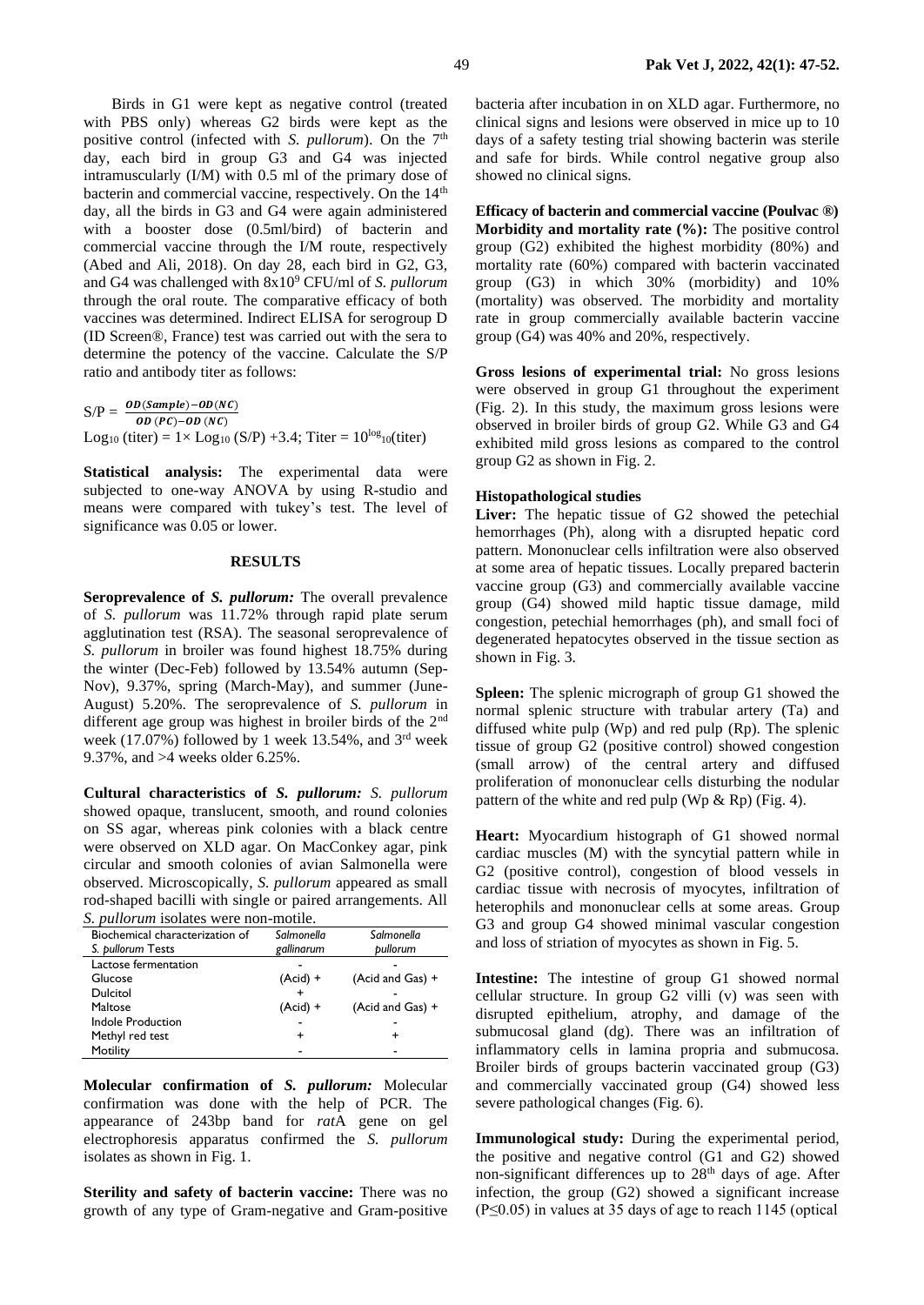Birds in G1 were kept as negative control (treated with PBS only) whereas G2 birds were kept as the positive control (infected with *S. pullorum*). On the 7<sup>th</sup> day, each bird in group G3 and G4 was injected intramuscularly (I/M) with 0.5 ml of the primary dose of bacterin and commercial vaccine, respectively. On the 14<sup>th</sup> day, all the birds in G3 and G4 were again administered with a booster dose (0.5ml/bird) of bacterin and commercial vaccine through the I/M route, respectively (Abed and Ali, 2018). On day 28, each bird in G2, G3, and G4 was challenged with 8x10<sup>9</sup> CFU/ml of *S. pullorum* through the oral route. The comparative efficacy of both vaccines was determined. Indirect ELISA for serogroup D (ID Screen®, France) test was carried out with the sera to determine the potency of the vaccine. Calculate the S/P ratio and antibody titer as follows:

 $S/P = \frac{OD(Sample) - OD(NC)}{OD(SO_0, OD(NC))}$  $\overline{OD\ (PC)-OD\ (NC)}$ Log<sub>10</sub> (titer) =  $1 \times$  Log<sub>10</sub> (S/P) +3.4; Titer =  $10^{\log_{10}(\text{titer})}$ 

**Statistical analysis:** The experimental data were subjected to one-way ANOVA by using R-studio and means were compared with tukey's test. The level of significance was 0.05 or lower.

### **RESULTS**

**Seroprevalence of** *S. pullorum:* The overall prevalence of *S. pullorum* was 11.72% through rapid plate serum agglutination test (RSA). The seasonal seroprevalence of *S. pullorum* in broiler was found highest 18.75% during the winter (Dec-Feb) followed by 13.54% autumn (Sep-Nov), 9.37%, spring (March-May), and summer (June-August) 5.20%. The seroprevalence of *S. pullorum* in different age group was highest in broiler birds of the 2nd week (17.07%) followed by 1 week 13.54%, and 3<sup>rd</sup> week 9.37%, and >4 weeks older 6.25%.

**Cultural characteristics of** *S. pullorum: S. pullorum* showed opaque, translucent, smooth, and round colonies on SS agar, whereas pink colonies with a black centre were observed on XLD agar. On MacConkey agar, pink circular and smooth colonies of avian Salmonella were observed. Microscopically, *S. pullorum* appeared as small rod-shaped bacilli with single or paired arrangements. All *S. pullorum* isolates were non-motile.

| Biochemical characterization of | Salmonella | Salmonella       |
|---------------------------------|------------|------------------|
| S. pullorum Tests               | gallinarum | bullorum         |
| Lactose fermentation            |            |                  |
| Glucose                         | $(Acid) +$ | (Acid and Gas) + |
| Dulcitol                        |            |                  |
| Maltose                         | $(Acid) +$ | (Acid and Gas) + |
| Indole Production               |            |                  |
| Methyl red test                 | +          |                  |
| Motility                        |            |                  |

**Molecular confirmation of** *S. pullorum:* Molecular confirmation was done with the help of PCR. The appearance of 243bp band for *rat*A gene on gel electrophoresis apparatus confirmed the *S. pullorum* isolates as shown in Fig. 1.

**Sterility and safety of bacterin vaccine:** There was no growth of any type of Gram-negative and Gram-positive bacteria after incubation in on XLD agar. Furthermore, no clinical signs and lesions were observed in mice up to 10 days of a safety testing trial showing bacterin was sterile and safe for birds. While control negative group also showed no clinical signs.

**Efficacy of bacterin and commercial vaccine (Poulvac ®) Morbidity and mortality rate (%):** The positive control group (G2) exhibited the highest morbidity (80%) and mortality rate (60%) compared with bacterin vaccinated group (G3) in which 30% (morbidity) and 10% (mortality) was observed. The morbidity and mortality rate in group commercially available bacterin vaccine group (G4) was 40% and 20%, respectively.

**Gross lesions of experimental trial:** No gross lesions were observed in group G1 throughout the experiment (Fig. 2). In this study, the maximum gross lesions were observed in broiler birds of group G2. While G3 and G4 exhibited mild gross lesions as compared to the control group G2 as shown in Fig. 2.

#### **Histopathological studies**

Liver: The hepatic tissue of G<sub>2</sub> showed the petechial hemorrhages (Ph), along with a disrupted hepatic cord pattern. Mononuclear cells infiltration were also observed at some area of hepatic tissues. Locally prepared bacterin vaccine group (G3) and commercially available vaccine group (G4) showed mild haptic tissue damage, mild congestion, petechial hemorrhages (ph), and small foci of degenerated hepatocytes observed in the tissue section as shown in Fig. 3.

**Spleen:** The splenic micrograph of group G1 showed the normal splenic structure with trabular artery (Ta) and diffused white pulp (Wp) and red pulp (Rp). The splenic tissue of group G2 (positive control) showed congestion (small arrow) of the central artery and diffused proliferation of mononuclear cells disturbing the nodular pattern of the white and red pulp (Wp  $\&$  Rp) (Fig. 4).

**Heart:** Myocardium histograph of G1 showed normal cardiac muscles (M) with the syncytial pattern while in G2 (positive control), congestion of blood vessels in cardiac tissue with necrosis of myocytes, infiltration of heterophils and mononuclear cells at some areas. Group G3 and group G4 showed minimal vascular congestion and loss of striation of myocytes as shown in Fig. 5.

**Intestine:** The intestine of group G1 showed normal cellular structure. In group G2 villi (v) was seen with disrupted epithelium, atrophy, and damage of the submucosal gland (dg). There was an infiltration of inflammatory cells in lamina propria and submucosa. Broiler birds of groups bacterin vaccinated group (G3) and commercially vaccinated group (G4) showed less severe pathological changes (Fig. 6).

**Immunological study:** During the experimental period, the positive and negative control (G1 and G2) showed non-significant differences up to 28<sup>th</sup> days of age. After infection, the group (G2) showed a significant increase (P≤0.05) in values at 35 days of age to reach 1145 (optical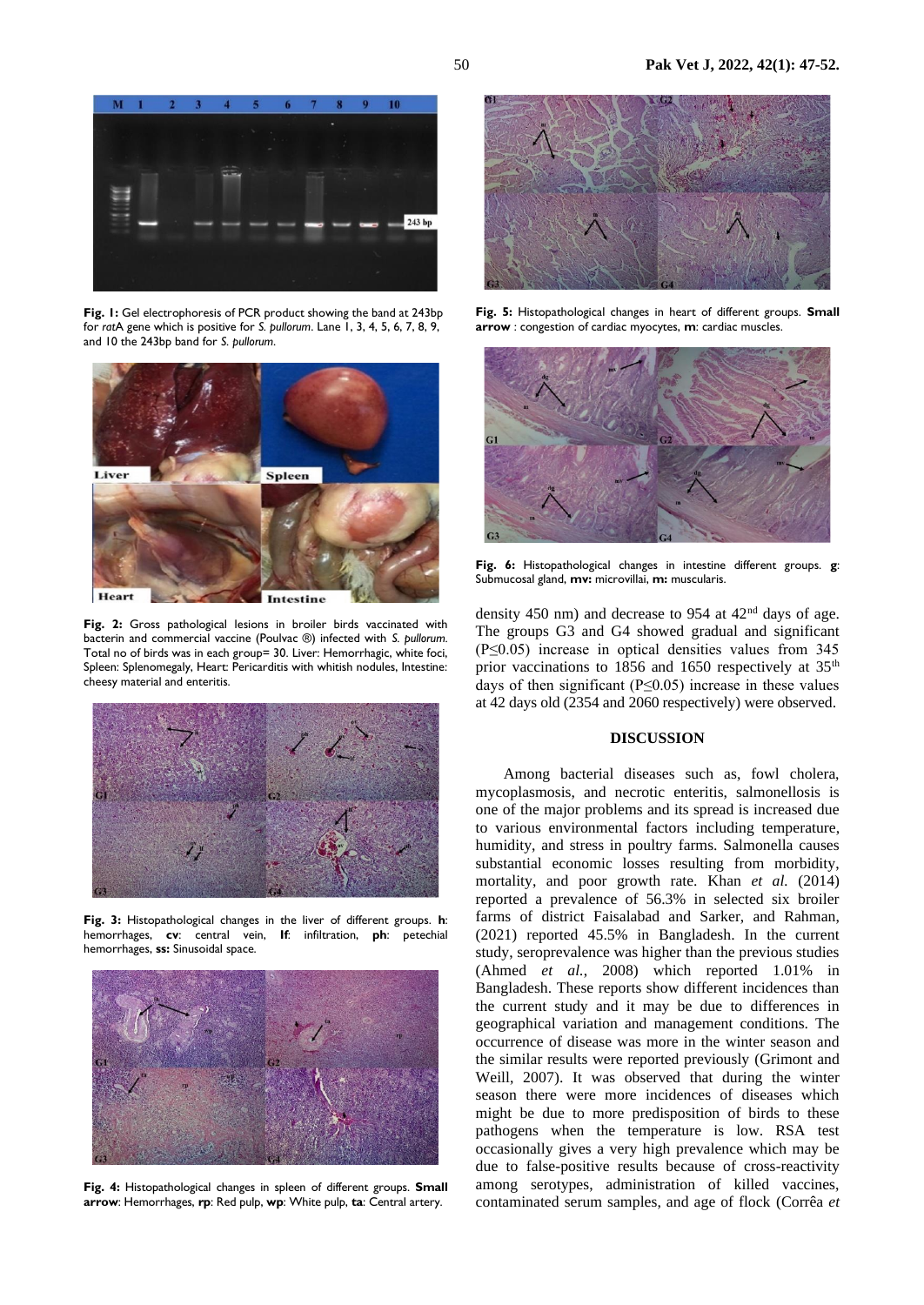

**Fig. 1:** Gel electrophoresis of PCR product showing the band at 243bp for *rat*A gene which is positive for *S. pullorum*. Lane 1, 3, 4, 5, 6, 7, 8, 9, and 10 the 243bp band for *S. pullorum*.



**Fig. 2:** Gross pathological lesions in broiler birds vaccinated with bacterin and commercial vaccine (Poulvac ®) infected with *S. pullorum.*  Total no of birds was in each group= 30. Liver: Hemorrhagic, white foci, Spleen: Splenomegaly, Heart: Pericarditis with whitish nodules, Intestine: cheesy material and enteritis.



**Fig. 3:** Histopathological changes in the liver of different groups. **h**: hemorrhages, **cv**: central vein, **If**: infiltration, **ph**: petechial hemorrhages, **ss:** Sinusoidal space.



**Fig. 4:** Histopathological changes in spleen of different groups. **Small arrow**: Hemorrhages, **rp**: Red pulp, **wp**: White pulp, **ta**: Central artery.



**Fig. 5:** Histopathological changes in heart of different groups. **Small arrow** : congestion of cardiac myocytes, **m**: cardiac muscles.



**Fig. 6:** Histopathological changes in intestine different groups. **g**: Submucosal gland, **mv:** microvillai, **m:** muscularis.

density 450 nm) and decrease to 954 at 42nd days of age. The groups G3 and G4 showed gradual and significant (P≤0.05) increase in optical densities values from 345 prior vaccinations to 1856 and 1650 respectively at 35<sup>th</sup> days of then significant ( $P \le 0.05$ ) increase in these values at 42 days old (2354 and 2060 respectively) were observed.

## **DISCUSSION**

Among bacterial diseases such as, fowl cholera, mycoplasmosis, and necrotic enteritis, salmonellosis is one of the major problems and its spread is increased due to various environmental factors including temperature, humidity, and stress in poultry farms. Salmonella causes substantial economic losses resulting from morbidity, mortality, and poor growth rate. Khan *et al.* (2014) reported a prevalence of 56.3% in selected six broiler farms of district Faisalabad and Sarker, and Rahman, (2021) reported 45.5% in Bangladesh. In the current study, seroprevalence was higher than the previous studies (Ahmed *et al.*, 2008) which reported 1.01% in Bangladesh. These reports show different incidences than the current study and it may be due to differences in geographical variation and management conditions. The occurrence of disease was more in the winter season and the similar results were reported previously (Grimont and Weill, 2007). It was observed that during the winter season there were more incidences of diseases which might be due to more predisposition of birds to these pathogens when the temperature is low. RSA test occasionally gives a very high prevalence which may be due to false-positive results because of cross-reactivity among serotypes, administration of killed vaccines, contaminated serum samples, and age of flock (Corrêa *et*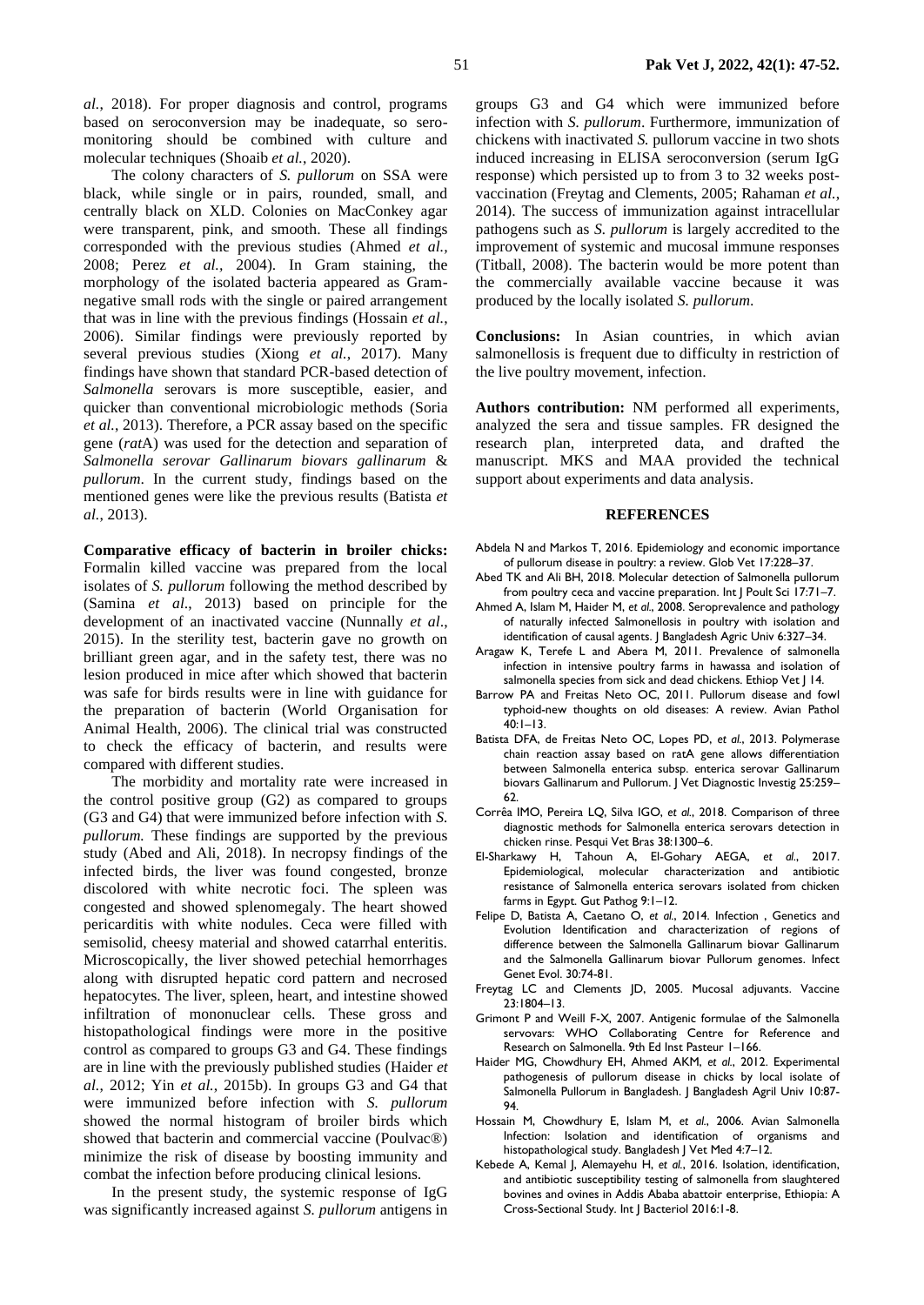*al.*, 2018). For proper diagnosis and control, programs based on seroconversion may be inadequate, so seromonitoring should be combined with culture and molecular techniques (Shoaib *et al.*, 2020).

The colony characters of *S. pullorum* on SSA were black, while single or in pairs, rounded, small, and centrally black on XLD. Colonies on MacConkey agar were transparent, pink, and smooth. These all findings corresponded with the previous studies (Ahmed *et al.,* 2008; Perez *et al.,* 2004). In Gram staining, the morphology of the isolated bacteria appeared as Gramnegative small rods with the single or paired arrangement that was in line with the previous findings (Hossain *et al.*, 2006). Similar findings were previously reported by several previous studies (Xiong *et al.*, 2017). Many findings have shown that standard PCR-based detection of *Salmonella* serovars is more susceptible, easier, and quicker than conventional microbiologic methods (Soria *et al.*, 2013). Therefore, a PCR assay based on the specific gene (*rat*A) was used for the detection and separation of *Salmonella serovar Gallinarum biovars gallinarum* & *pullorum*. In the current study, findings based on the mentioned genes were like the previous results (Batista *et al.*, 2013).

**Comparative efficacy of bacterin in broiler chicks:**  Formalin killed vaccine was prepared from the local isolates of *S. pullorum* following the method described by (Samina *et al*., 2013) based on principle for the development of an inactivated vaccine (Nunnally *et al*., 2015). In the sterility test, bacterin gave no growth on brilliant green agar, and in the safety test, there was no lesion produced in mice after which showed that bacterin was safe for birds results were in line with guidance for the preparation of bacterin (World Organisation for Animal Health, 2006). The clinical trial was constructed to check the efficacy of bacterin, and results were compared with different studies.

The morbidity and mortality rate were increased in the control positive group (G2) as compared to groups (G3 and G4) that were immunized before infection with *S. pullorum.* These findings are supported by the previous study (Abed and Ali, 2018). In necropsy findings of the infected birds, the liver was found congested, bronze discolored with white necrotic foci. The spleen was congested and showed splenomegaly. The heart showed pericarditis with white nodules. Ceca were filled with semisolid, cheesy material and showed catarrhal enteritis. Microscopically, the liver showed petechial hemorrhages along with disrupted hepatic cord pattern and necrosed hepatocytes. The liver, spleen, heart, and intestine showed infiltration of mononuclear cells. These gross and histopathological findings were more in the positive control as compared to groups G3 and G4. These findings are in line with the previously published studies (Haider *et al.*, 2012; Yin *et al.*, 2015b). In groups G3 and G4 that were immunized before infection with *S. pullorum* showed the normal histogram of broiler birds which showed that bacterin and commercial vaccine (Poulvac®) minimize the risk of disease by boosting immunity and combat the infection before producing clinical lesions.

In the present study, the systemic response of IgG was significantly increased against *S. pullorum* antigens in

groups G3 and G4 which were immunized before infection with *S. pullorum*. Furthermore*,* immunization of chickens with inactivated *S.* pullorum vaccine in two shots induced increasing in ELISA seroconversion (serum IgG response) which persisted up to from 3 to 32 weeks postvaccination (Freytag and Clements, 2005; Rahaman *et al.*, 2014). The success of immunization against intracellular pathogens such as *S. pullorum* is largely accredited to the improvement of systemic and mucosal immune responses (Titball, 2008). The bacterin would be more potent than the commercially available vaccine because it was produced by the locally isolated *S. pullorum*.

**Conclusions:** In Asian countries, in which avian salmonellosis is frequent due to difficulty in restriction of the live poultry movement, infection.

**Authors contribution:** NM performed all experiments, analyzed the sera and tissue samples. FR designed the research plan, interpreted data, and drafted the manuscript. MKS and MAA provided the technical support about experiments and data analysis.

#### **REFERENCES**

- Abdela N and Markos T, 2016. Epidemiology and economic importance of pullorum disease in poultry: a review. Glob Vet 17:228–37.
- Abed TK and Ali BH, 2018. Molecular detection of Salmonella pullorum from poultry ceca and vaccine preparation. Int J Poult Sci 17:71–7.
- Ahmed A, Islam M, Haider M, *et al.*, 2008. Seroprevalence and pathology of naturally infected Salmonellosis in poultry with isolation and identification of causal agents. J Bangladesh Agric Univ 6:327–34.
- Aragaw K, Terefe L and Abera M, 2011. Prevalence of salmonella infection in intensive poultry farms in hawassa and isolation of salmonella species from sick and dead chickens. Ethiop Vet J 14.
- Barrow PA and Freitas Neto OC, 2011. Pullorum disease and fowl typhoid-new thoughts on old diseases: A review. Avian Pathol  $40:1-13.$
- Batista DFA, de Freitas Neto OC, Lopes PD, *et al.*, 2013. Polymerase chain reaction assay based on ratA gene allows differentiation between Salmonella enterica subsp. enterica serovar Gallinarum biovars Gallinarum and Pullorum. J Vet Diagnostic Investig 25:259– 62.
- Corrêa IMO, Pereira LQ, Silva IGO, *et al.*, 2018. Comparison of three diagnostic methods for Salmonella enterica serovars detection in chicken rinse. Pesqui Vet Bras 38:1300–6.
- El-Sharkawy H, Tahoun A, El-Gohary AEGA, *et al.*, 2017. Epidemiological, molecular characterization and antibiotic resistance of Salmonella enterica serovars isolated from chicken farms in Egypt. Gut Pathog 9:1–12.
- Felipe D, Batista A, Caetano O, et al., 2014. Infection , Genetics and Evolution Identification and characterization of regions of difference between the Salmonella Gallinarum biovar Gallinarum and the Salmonella Gallinarum biovar Pullorum genomes. Infect Genet Evol. 30:74-81.
- Freytag LC and Clements JD, 2005. Mucosal adjuvants. Vaccine 23:1804–13.
- Grimont P and Weill F-X, 2007. Antigenic formulae of the Salmonella servovars: WHO Collaborating Centre for Reference and Research on Salmonella. 9th Ed Inst Pasteur 1–166.
- Haider MG, Chowdhury EH, Ahmed AKM, *et al.*, 2012. Experimental pathogenesis of pullorum disease in chicks by local isolate of Salmonella Pullorum in Bangladesh. J Bangladesh Agril Univ 10:87- 94.
- Hossain M, Chowdhury E, Islam M, *et al.*, 2006. Avian Salmonella Infection: Isolation and identification of organisms and histopathological study. Bangladesh J Vet Med 4:7–12.
- Kebede A, Kemal J, Alemayehu H, *et al.*, 2016. Isolation, identification, and antibiotic susceptibility testing of salmonella from slaughtered bovines and ovines in Addis Ababa abattoir enterprise, Ethiopia: A Cross-Sectional Study. Int J Bacteriol 2016:1-8.